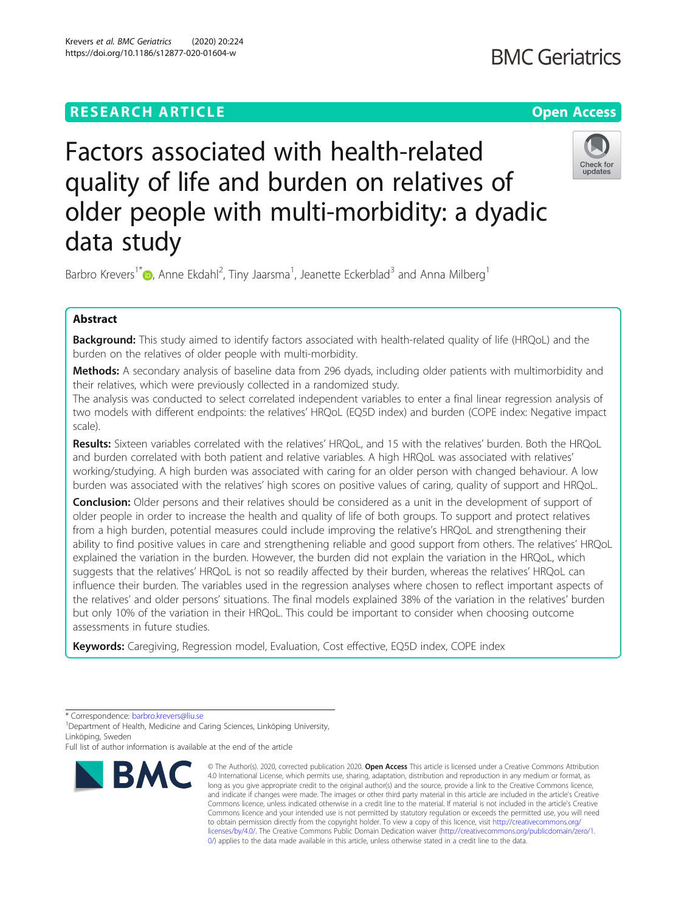# Krevers et al. BMC Geriatrics (2020) 20:224 https://doi.org/10.1186/s12877-020-01604-w

Factors associated with health-related quality of life and burden on relatives of

Barbro Krevers<sup>1\*</sup>®, Anne Ekdahl<sup>2</sup>, Tiny Jaarsma<sup>1</sup>, Jeanette Eckerblad<sup>3</sup> and Anna Milberg<sup>1</sup>

older people with multi-morbidity: a dyadic

# Abstract

data study

Background: This study aimed to identify factors associated with health-related quality of life (HRQoL) and the burden on the relatives of older people with multi-morbidity.

Methods: A secondary analysis of baseline data from 296 dyads, including older patients with multimorbidity and their relatives, which were previously collected in a randomized study.

The analysis was conducted to select correlated independent variables to enter a final linear regression analysis of two models with different endpoints: the relatives' HRQoL (EQ5D index) and burden (COPE index: Negative impact scale).

Results: Sixteen variables correlated with the relatives' HROoL, and 15 with the relatives' burden. Both the HROoL and burden correlated with both patient and relative variables. A high HRQoL was associated with relatives' working/studying. A high burden was associated with caring for an older person with changed behaviour. A low burden was associated with the relatives' high scores on positive values of caring, quality of support and HRQoL.

**Conclusion:** Older persons and their relatives should be considered as a unit in the development of support of older people in order to increase the health and quality of life of both groups. To support and protect relatives from a high burden, potential measures could include improving the relative's HRQoL and strengthening their ability to find positive values in care and strengthening reliable and good support from others. The relatives' HRQoL explained the variation in the burden. However, the burden did not explain the variation in the HRQoL, which suggests that the relatives' HRQoL is not so readily affected by their burden, whereas the relatives' HRQoL can influence their burden. The variables used in the regression analyses where chosen to reflect important aspects of the relatives' and older persons' situations. The final models explained 38% of the variation in the relatives' burden but only 10% of the variation in their HRQoL. This could be important to consider when choosing outcome assessments in future studies.

Keywords: Caregiving, Regression model, Evaluation, Cost effective, EQ5D index, COPE index

<sup>1</sup> Department of Health, Medicine and Caring Sciences, Linköping University, Linköping, Sweden

Full list of author information is available at the end of the article



<sup>©</sup> The Author(s), 2020, corrected publication 2020, Open Access This article is licensed under a Creative Commons Attribution 4.0 International License, which permits use, sharing, adaptation, distribution and reproduction in any medium or format, as long as you give appropriate credit to the original author(s) and the source, provide a link to the Creative Commons licence, and indicate if changes were made. The images or other third party material in this article are included in the article's Creative Commons licence, unless indicated otherwise in a credit line to the material. If material is not included in the article's Creative Commons licence and your intended use is not permitted by statutory regulation or exceeds the permitted use, you will need to obtain permission directly from the copyright holder. To view a copy of this licence, visit [http://creativecommons.org/](http://creativecommons.org/licenses/by/4.0/) [licenses/by/4.0/.](http://creativecommons.org/licenses/by/4.0/) The Creative Commons Public Domain Dedication waiver ([http://creativecommons.org/publicdomain/zero/1.](http://creativecommons.org/publicdomain/zero/1.0/) [0/\)](http://creativecommons.org/publicdomain/zero/1.0/) applies to the data made available in this article, unless otherwise stated in a credit line to the data.



<sup>\*</sup> Correspondence: [barbro.krevers@liu.se](mailto:barbro.krevers@liu.se) <sup>1</sup>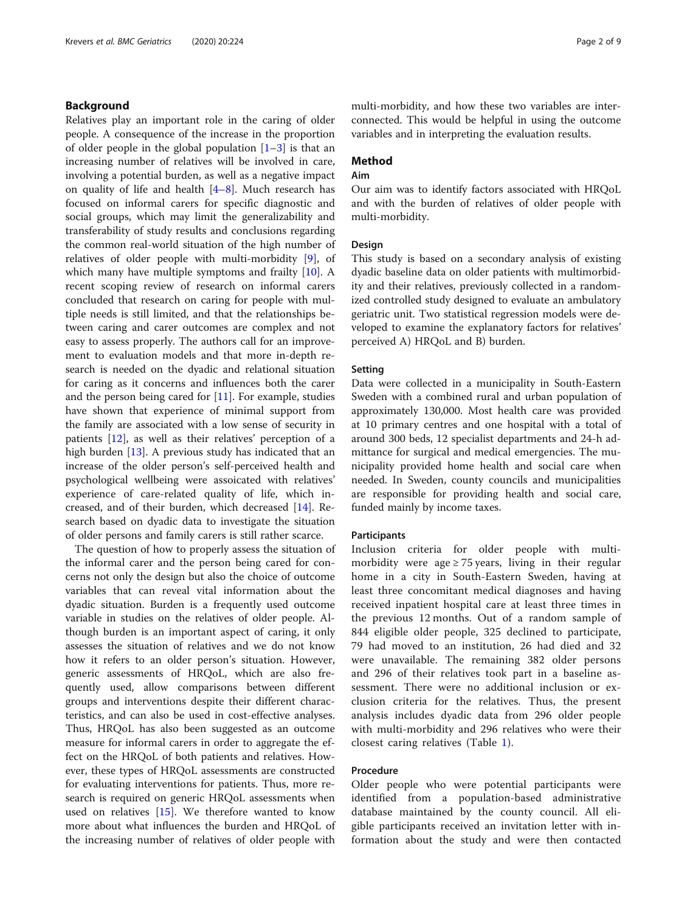# Background

Relatives play an important role in the caring of older people. A consequence of the increase in the proportion of older people in the global population  $[1-3]$  $[1-3]$  $[1-3]$  is that an increasing number of relatives will be involved in care, involving a potential burden, as well as a negative impact on quality of life and health [[4](#page-7-0)–[8](#page-7-0)]. Much research has focused on informal carers for specific diagnostic and social groups, which may limit the generalizability and transferability of study results and conclusions regarding the common real-world situation of the high number of relatives of older people with multi-morbidity [[9\]](#page-7-0), of which many have multiple symptoms and frailty [[10\]](#page-7-0). A recent scoping review of research on informal carers concluded that research on caring for people with multiple needs is still limited, and that the relationships between caring and carer outcomes are complex and not easy to assess properly. The authors call for an improvement to evaluation models and that more in-depth research is needed on the dyadic and relational situation for caring as it concerns and influences both the carer and the person being cared for [[11](#page-7-0)]. For example, studies have shown that experience of minimal support from the family are associated with a low sense of security in patients [\[12](#page-7-0)], as well as their relatives' perception of a high burden  $[13]$  $[13]$ . A previous study has indicated that an increase of the older person's self-perceived health and psychological wellbeing were assoicated with relatives' experience of care-related quality of life, which increased, and of their burden, which decreased [\[14](#page-7-0)]. Research based on dyadic data to investigate the situation of older persons and family carers is still rather scarce.

The question of how to properly assess the situation of the informal carer and the person being cared for concerns not only the design but also the choice of outcome variables that can reveal vital information about the dyadic situation. Burden is a frequently used outcome variable in studies on the relatives of older people. Although burden is an important aspect of caring, it only assesses the situation of relatives and we do not know how it refers to an older person's situation. However, generic assessments of HRQoL, which are also frequently used, allow comparisons between different groups and interventions despite their different characteristics, and can also be used in cost-effective analyses. Thus, HRQoL has also been suggested as an outcome measure for informal carers in order to aggregate the effect on the HRQoL of both patients and relatives. However, these types of HRQoL assessments are constructed for evaluating interventions for patients. Thus, more research is required on generic HRQoL assessments when used on relatives [\[15\]](#page-7-0). We therefore wanted to know more about what influences the burden and HRQoL of the increasing number of relatives of older people with

multi-morbidity, and how these two variables are interconnected. This would be helpful in using the outcome variables and in interpreting the evaluation results.

# Method

# Aim

Our aim was to identify factors associated with HRQoL and with the burden of relatives of older people with multi-morbidity.

## Design

This study is based on a secondary analysis of existing dyadic baseline data on older patients with multimorbidity and their relatives, previously collected in a randomized controlled study designed to evaluate an ambulatory geriatric unit. Two statistical regression models were developed to examine the explanatory factors for relatives' perceived A) HRQoL and B) burden.

## Setting

Data were collected in a municipality in South-Eastern Sweden with a combined rural and urban population of approximately 130,000. Most health care was provided at 10 primary centres and one hospital with a total of around 300 beds, 12 specialist departments and 24-h admittance for surgical and medical emergencies. The municipality provided home health and social care when needed. In Sweden, county councils and municipalities are responsible for providing health and social care, funded mainly by income taxes.

## Participants

Inclusion criteria for older people with multimorbidity were age  $\geq$  75 years, living in their regular home in a city in South-Eastern Sweden, having at least three concomitant medical diagnoses and having received inpatient hospital care at least three times in the previous 12 months. Out of a random sample of 844 eligible older people, 325 declined to participate, 79 had moved to an institution, 26 had died and 32 were unavailable. The remaining 382 older persons and 296 of their relatives took part in a baseline assessment. There were no additional inclusion or exclusion criteria for the relatives. Thus, the present analysis includes dyadic data from 296 older people with multi-morbidity and 296 relatives who were their closest caring relatives (Table [1\)](#page-2-0).

# Procedure

Older people who were potential participants were identified from a population-based administrative database maintained by the county council. All eligible participants received an invitation letter with information about the study and were then contacted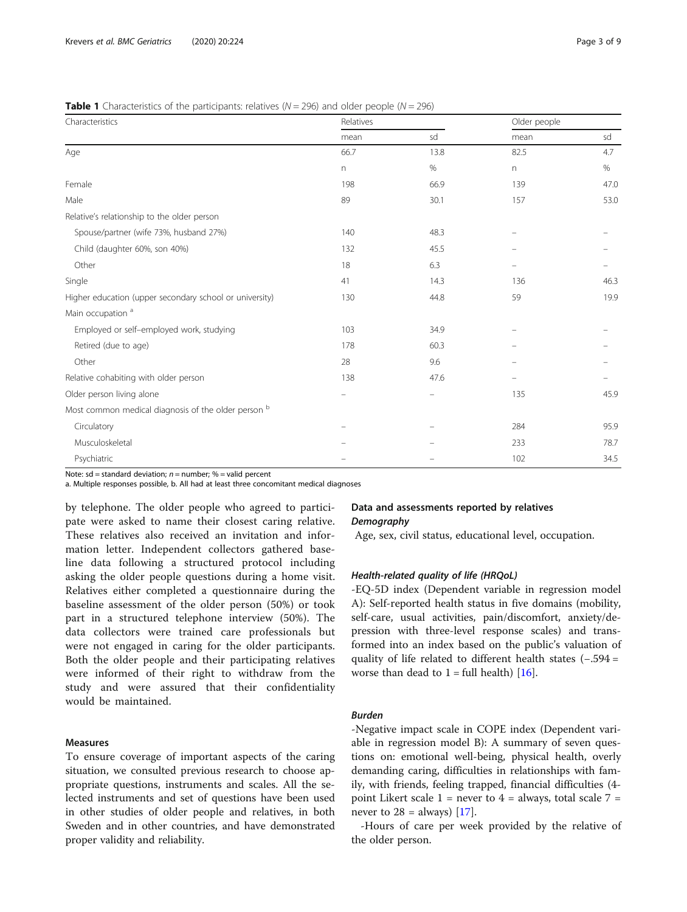## <span id="page-2-0"></span>**Table 1** Characteristics of the participants: relatives  $(N = 296)$  and older people  $(N = 296)$

| Characteristics                                         | Relatives                |      | Older people                   |      |  |
|---------------------------------------------------------|--------------------------|------|--------------------------------|------|--|
|                                                         | mean                     | sd   | mean                           | sd   |  |
| Age                                                     | 66.7                     | 13.8 | 82.5                           | 4.7  |  |
|                                                         | n                        | $\%$ | $\mathsf{n}$                   | %    |  |
| Female                                                  | 198                      | 66.9 | 139                            | 47.0 |  |
| Male                                                    | 89                       | 30.1 | 157                            | 53.0 |  |
| Relative's relationship to the older person             |                          |      |                                |      |  |
| Spouse/partner (wife 73%, husband 27%)                  | 140                      | 48.3 |                                |      |  |
| Child (daughter 60%, son 40%)                           | 132                      | 45.5 |                                |      |  |
| Other                                                   | 18                       | 6.3  | $\qquad \qquad \longleftarrow$ |      |  |
| Single                                                  | 41                       | 14.3 | 136                            | 46.3 |  |
| Higher education (upper secondary school or university) | 130                      | 44.8 | 59                             | 19.9 |  |
| Main occupation <sup>a</sup>                            |                          |      |                                |      |  |
| Employed or self-employed work, studying                | 103                      | 34.9 |                                |      |  |
| Retired (due to age)                                    | 178                      | 60.3 |                                |      |  |
| Other                                                   | 28                       | 9.6  |                                |      |  |
| Relative cohabiting with older person                   | 138                      | 47.6 |                                |      |  |
| Older person living alone                               | $\overline{\phantom{0}}$ |      | 135                            | 45.9 |  |
| Most common medical diagnosis of the older person b     |                          |      |                                |      |  |
| Circulatory                                             |                          |      | 284                            | 95.9 |  |
| Musculoskeletal                                         |                          |      | 233                            | 78.7 |  |
| Psychiatric                                             |                          |      | 102                            | 34.5 |  |

Note: sd = standard deviation;  $n =$  number; % = valid percent

a. Multiple responses possible, b. All had at least three concomitant medical diagnoses

by telephone. The older people who agreed to participate were asked to name their closest caring relative. These relatives also received an invitation and information letter. Independent collectors gathered baseline data following a structured protocol including asking the older people questions during a home visit. Relatives either completed a questionnaire during the baseline assessment of the older person (50%) or took part in a structured telephone interview (50%). The data collectors were trained care professionals but were not engaged in caring for the older participants. Both the older people and their participating relatives were informed of their right to withdraw from the study and were assured that their confidentiality would be maintained.

# Measures

To ensure coverage of important aspects of the caring situation, we consulted previous research to choose appropriate questions, instruments and scales. All the selected instruments and set of questions have been used in other studies of older people and relatives, in both Sweden and in other countries, and have demonstrated proper validity and reliability.

# Data and assessments reported by relatives **Demography**

Age, sex, civil status, educational level, occupation.

# Health-related quality of life (HRQoL)

-EQ-5D index (Dependent variable in regression model A): Self-reported health status in five domains (mobility, self-care, usual activities, pain/discomfort, anxiety/depression with three-level response scales) and transformed into an index based on the public's valuation of quality of life related to different health states (−.594 = worse than dead to  $1 = \text{full health}$  [\[16](#page-7-0)].

# Burden

-Negative impact scale in COPE index (Dependent variable in regression model B): A summary of seven questions on: emotional well-being, physical health, overly demanding caring, difficulties in relationships with family, with friends, feeling trapped, financial difficulties (4 point Likert scale  $1 =$  never to  $4 =$  always, total scale  $7 =$ never to  $28 =$  always) [\[17](#page-7-0)].

-Hours of care per week provided by the relative of the older person.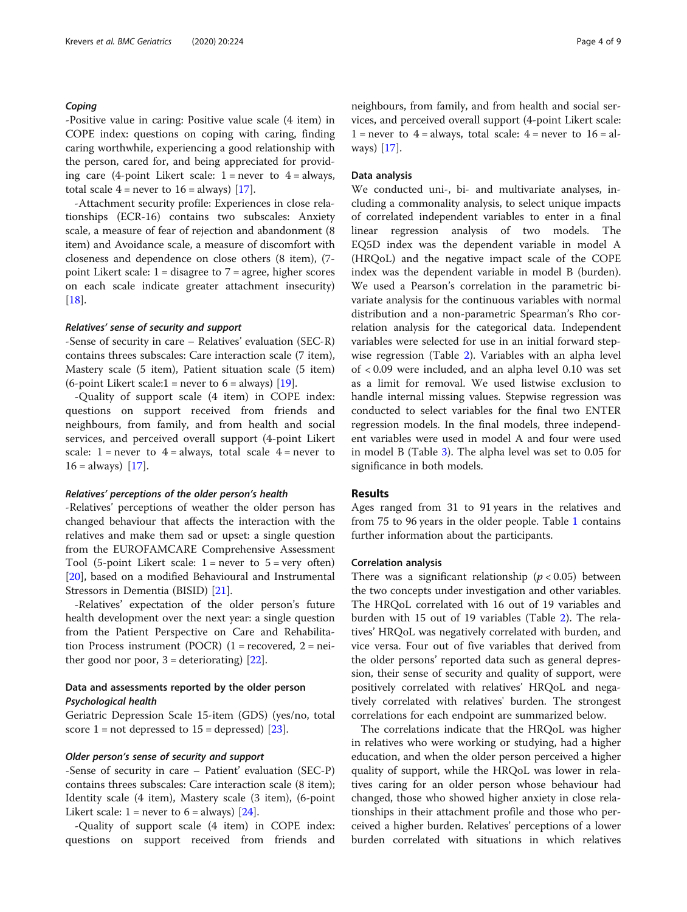## Coping

-Positive value in caring: Positive value scale (4 item) in COPE index: questions on coping with caring, finding caring worthwhile, experiencing a good relationship with the person, cared for, and being appreciated for providing care (4-point Likert scale:  $1 =$  never to  $4 =$  always, total scale  $4$  = never to  $16$  = always) [[17\]](#page-7-0).

-Attachment security profile: Experiences in close relationships (ECR-16) contains two subscales: Anxiety scale, a measure of fear of rejection and abandonment (8 item) and Avoidance scale, a measure of discomfort with closeness and dependence on close others (8 item), (7 point Likert scale:  $1 =$  disagree to  $7 =$  agree, higher scores on each scale indicate greater attachment insecurity) [[18\]](#page-7-0).

#### Relatives' sense of security and support

-Sense of security in care – Relatives' evaluation (SEC-R) contains threes subscales: Care interaction scale (7 item), Mastery scale (5 item), Patient situation scale (5 item) (6-point Likert scale: $1$  = never to 6 = always) [[19\]](#page-7-0).

-Quality of support scale (4 item) in COPE index: questions on support received from friends and neighbours, from family, and from health and social services, and perceived overall support (4-point Likert scale:  $1 = never to 4 = always, total scale 4 = never to$  $16 =$  always) [[17\]](#page-7-0).

#### Relatives' perceptions of the older person's health

-Relatives' perceptions of weather the older person has changed behaviour that affects the interaction with the relatives and make them sad or upset: a single question from the EUROFAMCARE Comprehensive Assessment Tool (5-point Likert scale:  $1 =$  never to  $5 =$  very often) [[20\]](#page-7-0), based on a modified Behavioural and Instrumental Stressors in Dementia (BISID) [[21](#page-7-0)].

-Relatives' expectation of the older person's future health development over the next year: a single question from the Patient Perspective on Care and Rehabilitation Process instrument (POCR)  $(1 =$  recovered,  $2 =$  neither good nor poor,  $3 =$  deteriorating) [[22\]](#page-7-0).

# Data and assessments reported by the older person Psychological health

Geriatric Depression Scale 15-item (GDS) (yes/no, total score  $1 = \text{not } \text{depressed to } 15 = \text{depressed}$  [\[23](#page-7-0)].

## Older person's sense of security and support

-Sense of security in care – Patient' evaluation (SEC-P) contains threes subscales: Care interaction scale (8 item); Identity scale (4 item), Mastery scale (3 item), (6-point Likert scale:  $1 =$  never to  $6 =$  always) [[24\]](#page-7-0).

-Quality of support scale (4 item) in COPE index: questions on support received from friends and neighbours, from family, and from health and social services, and perceived overall support (4-point Likert scale:  $1 =$  never to  $4 =$  always, total scale:  $4 =$  never to  $16 =$  always) [\[17](#page-7-0)].

## Data analysis

We conducted uni-, bi- and multivariate analyses, including a commonality analysis, to select unique impacts of correlated independent variables to enter in a final linear regression analysis of two models. The EQ5D index was the dependent variable in model A (HRQoL) and the negative impact scale of the COPE index was the dependent variable in model B (burden). We used a Pearson's correlation in the parametric bivariate analysis for the continuous variables with normal distribution and a non-parametric Spearman's Rho correlation analysis for the categorical data. Independent variables were selected for use in an initial forward stepwise regression (Table [2](#page-4-0)). Variables with an alpha level of < 0.09 were included, and an alpha level 0.10 was set as a limit for removal. We used listwise exclusion to handle internal missing values. Stepwise regression was conducted to select variables for the final two ENTER regression models. In the final models, three independent variables were used in model A and four were used in model B (Table [3\)](#page-5-0). The alpha level was set to 0.05 for significance in both models.

# Results

Ages ranged from 31 to 91 years in the relatives and from 75 to 96 years in the older people. Table [1](#page-2-0) contains further information about the participants.

# Correlation analysis

There was a significant relationship ( $p < 0.05$ ) between the two concepts under investigation and other variables. The HRQoL correlated with 16 out of 19 variables and burden with 15 out of 19 variables (Table [2\)](#page-4-0). The relatives' HRQoL was negatively correlated with burden, and vice versa. Four out of five variables that derived from the older persons' reported data such as general depression, their sense of security and quality of support, were positively correlated with relatives' HRQoL and negatively correlated with relatives' burden. The strongest correlations for each endpoint are summarized below.

The correlations indicate that the HRQoL was higher in relatives who were working or studying, had a higher education, and when the older person perceived a higher quality of support, while the HRQoL was lower in relatives caring for an older person whose behaviour had changed, those who showed higher anxiety in close relationships in their attachment profile and those who perceived a higher burden. Relatives' perceptions of a lower burden correlated with situations in which relatives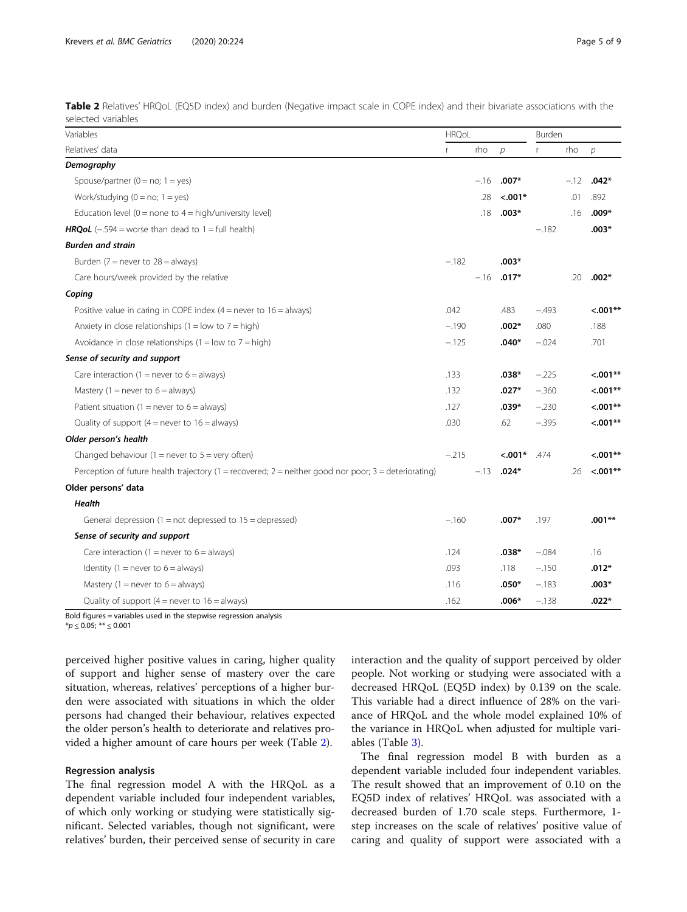<span id="page-4-0"></span>Table 2 Relatives' HRQoL (EQ5D index) and burden (Negative impact scale in COPE index) and their bivariate associations with the selected variables

| Variables                                                                                              |         | <b>HRQoL</b> |               |         | Burden |               |  |
|--------------------------------------------------------------------------------------------------------|---------|--------------|---------------|---------|--------|---------------|--|
| Relatives' data                                                                                        | r       | rho          | $\mathcal{D}$ | r       | rho    | $\mathcal{P}$ |  |
| Demography                                                                                             |         |              |               |         |        |               |  |
| Spouse/partner ( $0 = no$ ; $1 = yes$ )                                                                |         | $-.16$       | $.007*$       |         | $-.12$ | $.042*$       |  |
| Work/studying $(0 = no; 1 = yes)$                                                                      |         | .28          | $< .001*$     |         | .01    | .892          |  |
| Education level ( $0 =$ none to $4 =$ high/university level)                                           |         | .18          | $.003*$       |         | .16    | $.009*$       |  |
| <b>HRQoL</b> (-.594 = worse than dead to $1 = \text{full health}$ )                                    |         |              |               | $-.182$ |        | $.003*$       |  |
| <b>Burden and strain</b>                                                                               |         |              |               |         |        |               |  |
| Burden ( $7$ = never to $28$ = always)                                                                 | $-.182$ |              | $.003*$       |         |        |               |  |
| Care hours/week provided by the relative                                                               |         | $-.16$       | $.017*$       |         | .20    | $.002*$       |  |
| Coping                                                                                                 |         |              |               |         |        |               |  |
| Positive value in caring in COPE index $(4 =$ never to $16 =$ always)                                  | .042    |              | .483          | $-.493$ |        | $< .001**$    |  |
| Anxiety in close relationships (1 = low to $7 =$ high)                                                 | $-.190$ |              | .002*         | .080    |        | .188          |  |
| Avoidance in close relationships $(1 = low to 7 = high)$                                               | $-.125$ |              | $.040*$       | $-.024$ |        | .701          |  |
| Sense of security and support                                                                          |         |              |               |         |        |               |  |
| Care interaction (1 = never to $6 =$ always)                                                           | .133    |              | $.038*$       | $-.225$ |        | $< 0.01**$    |  |
| Mastery (1 = never to $6 =$ always)                                                                    | .132    |              | $.027*$       | $-.360$ |        | $< 0.001**$   |  |
| Patient situation (1 = never to $6 =$ always)                                                          | .127    |              | $.039*$       | $-.230$ |        | $< .001**$    |  |
| Quality of support $(4 =$ never to $16 =$ always)                                                      | .030    |              | .62           | $-.395$ |        | $< .001**$    |  |
| Older person's health                                                                                  |         |              |               |         |        |               |  |
| Changed behaviour (1 = never to $5 =$ very often)                                                      | $-.215$ |              | $< .001*$     | .474    |        | $< 0.001**$   |  |
| Perception of future health trajectory (1 = recovered; $2$ = neither good nor poor; 3 = deteriorating) |         | $-.13$       | $.024*$       |         | .26    | $< .001**$    |  |
| Older persons' data                                                                                    |         |              |               |         |        |               |  |
| <b>Health</b>                                                                                          |         |              |               |         |        |               |  |
| General depression $(1 = not$ depressed to $15 =$ depressed)                                           | $-.160$ |              | $.007*$       | .197    |        | $.001**$      |  |
| Sense of security and support                                                                          |         |              |               |         |        |               |  |
| Care interaction (1 = never to $6 =$ always)                                                           | .124    |              | $.038*$       | $-.084$ |        | .16           |  |
| Identity (1 = never to $6 =$ always)                                                                   | .093    |              | .118          | $-.150$ |        | .012*         |  |
| Mastery (1 = never to $6 =$ always)                                                                    | .116    |              | $.050*$       | $-.183$ |        | $.003*$       |  |
| Quality of support $(4 =$ never to $16 =$ always)                                                      | .162    |              | $.006*$       | $-.138$ |        | $.022*$       |  |

Bold figures = variables used in the stepwise regression analysis

 $*_{p} \leq 0.05; ** \leq 0.001$ 

perceived higher positive values in caring, higher quality of support and higher sense of mastery over the care situation, whereas, relatives' perceptions of a higher burden were associated with situations in which the older persons had changed their behaviour, relatives expected the older person's health to deteriorate and relatives provided a higher amount of care hours per week (Table 2).

## Regression analysis

The final regression model A with the HRQoL as a dependent variable included four independent variables, of which only working or studying were statistically significant. Selected variables, though not significant, were relatives' burden, their perceived sense of security in care interaction and the quality of support perceived by older people. Not working or studying were associated with a decreased HRQoL (EQ5D index) by 0.139 on the scale. This variable had a direct influence of 28% on the variance of HRQoL and the whole model explained 10% of the variance in HRQoL when adjusted for multiple variables (Table [3\)](#page-5-0).

The final regression model B with burden as a dependent variable included four independent variables. The result showed that an improvement of 0.10 on the EQ5D index of relatives' HRQoL was associated with a decreased burden of 1.70 scale steps. Furthermore, 1 step increases on the scale of relatives' positive value of caring and quality of support were associated with a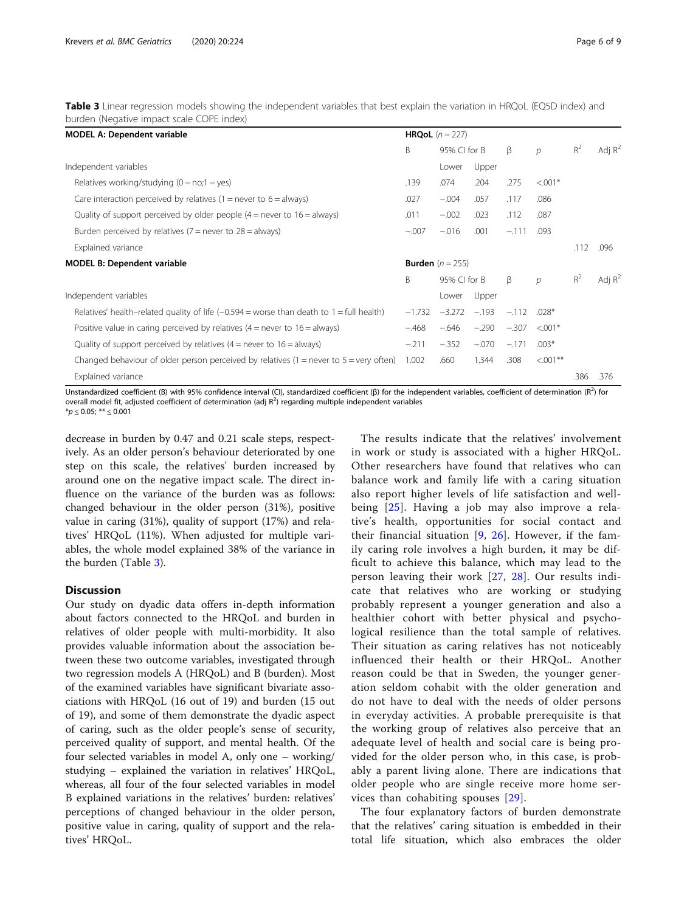<span id="page-5-0"></span>Table 3 Linear regression models showing the independent variables that best explain the variation in HRQoL (EQ5D index) and burden (Negative impact scale COPE index)

| <b>MODEL A: Dependent variable</b>                                                          | <b>HRQoL</b> $(n = 227)$ |                                    |         |         |               |       |           |
|---------------------------------------------------------------------------------------------|--------------------------|------------------------------------|---------|---------|---------------|-------|-----------|
|                                                                                             | B                        | 95% CI for B                       |         | β       | $\mathcal{D}$ | $R^2$ | Adj $R^2$ |
| Independent variables                                                                       |                          | Lower                              | Upper   |         |               |       |           |
| Relatives working/studying $(0 = no; 1 = yes)$                                              | .139                     | .074                               | .204    | .275    | $< 0.01*$     |       |           |
| Care interaction perceived by relatives $(1 =$ never to $6 =$ always)                       | .027                     | $-.004$                            | .057    | .117    | .086          |       |           |
| Quality of support perceived by older people $(4 =$ never to $16 =$ always)                 | .011                     | $-.002$                            | .023    | .112    | .087          |       |           |
| Burden perceived by relatives ( $7$ = never to $28$ = always)                               | $-.007$                  | $-.016$                            | .001    | $-.111$ | .093          |       |           |
| Explained variance                                                                          |                          |                                    |         |         |               | .112  | .096      |
| <b>MODEL B: Dependent variable</b>                                                          |                          | <b>Burden</b> $(n = 255)$          |         |         |               |       |           |
|                                                                                             | B                        | β<br>95% CI for B<br>$\mathcal{D}$ |         |         |               | $R^2$ | Adj $R^2$ |
| Independent variables                                                                       |                          | Lower                              | Upper   |         |               |       |           |
| Relatives' health–related quality of life $(-0.594)$ = worse than death to 1 = full health) | $-1.732$                 | $-3.272$                           | $-.193$ | $-.112$ | $.028*$       |       |           |
| Positive value in caring perceived by relatives $(4 =$ never to $16 =$ always)              | $-.468$                  | $-.646$                            | $-.290$ | $-.307$ | $< 0.01*$     |       |           |
| Quality of support perceived by relatives $(4 =$ never to $16 =$ always)                    | $-.211$                  | $-.352$                            | $-.070$ | $-.171$ | $.003*$       |       |           |
| Changed behaviour of older person perceived by relatives $(1 =$ never to $5 =$ very often)  | 1.002                    | .660                               | 1.344   | .308    | $< 0.01**$    |       |           |
| Explained variance                                                                          |                          |                                    |         |         |               | .386  | .376      |

Unstandardized coefficient (B) with 95% confidence interval (CI), standardized coefficient ( $\beta$ ) for the independent variables, coefficient of determination (R<sup>2</sup>) for overall model fit, adjusted coefficient of determination (adj  $R^2$ ) regarding multiple independent variables  $**p* \le 0.05; ** \le 0.001$ 

decrease in burden by 0.47 and 0.21 scale steps, respectively. As an older person's behaviour deteriorated by one step on this scale, the relatives' burden increased by around one on the negative impact scale. The direct influence on the variance of the burden was as follows: changed behaviour in the older person (31%), positive value in caring (31%), quality of support (17%) and relatives' HRQoL (11%). When adjusted for multiple variables, the whole model explained 38% of the variance in the burden (Table 3).

# **Discussion**

Our study on dyadic data offers in-depth information about factors connected to the HRQoL and burden in relatives of older people with multi-morbidity. It also provides valuable information about the association between these two outcome variables, investigated through two regression models A (HRQoL) and B (burden). Most of the examined variables have significant bivariate associations with HRQoL (16 out of 19) and burden (15 out of 19), and some of them demonstrate the dyadic aspect of caring, such as the older people's sense of security, perceived quality of support, and mental health. Of the four selected variables in model A, only one – working/ studying – explained the variation in relatives' HRQoL, whereas, all four of the four selected variables in model B explained variations in the relatives' burden: relatives' perceptions of changed behaviour in the older person, positive value in caring, quality of support and the relatives' HRQoL.

The results indicate that the relatives' involvement in work or study is associated with a higher HRQoL. Other researchers have found that relatives who can balance work and family life with a caring situation also report higher levels of life satisfaction and wellbeing [[25](#page-7-0)]. Having a job may also improve a relative's health, opportunities for social contact and their financial situation  $[9, 26]$  $[9, 26]$  $[9, 26]$  $[9, 26]$ . However, if the family caring role involves a high burden, it may be difficult to achieve this balance, which may lead to the person leaving their work [\[27,](#page-8-0) [28\]](#page-8-0). Our results indicate that relatives who are working or studying probably represent a younger generation and also a healthier cohort with better physical and psychological resilience than the total sample of relatives. Their situation as caring relatives has not noticeably influenced their health or their HRQoL. Another reason could be that in Sweden, the younger generation seldom cohabit with the older generation and do not have to deal with the needs of older persons in everyday activities. A probable prerequisite is that the working group of relatives also perceive that an adequate level of health and social care is being provided for the older person who, in this case, is probably a parent living alone. There are indications that older people who are single receive more home services than cohabiting spouses [[29\]](#page-8-0).

The four explanatory factors of burden demonstrate that the relatives' caring situation is embedded in their total life situation, which also embraces the older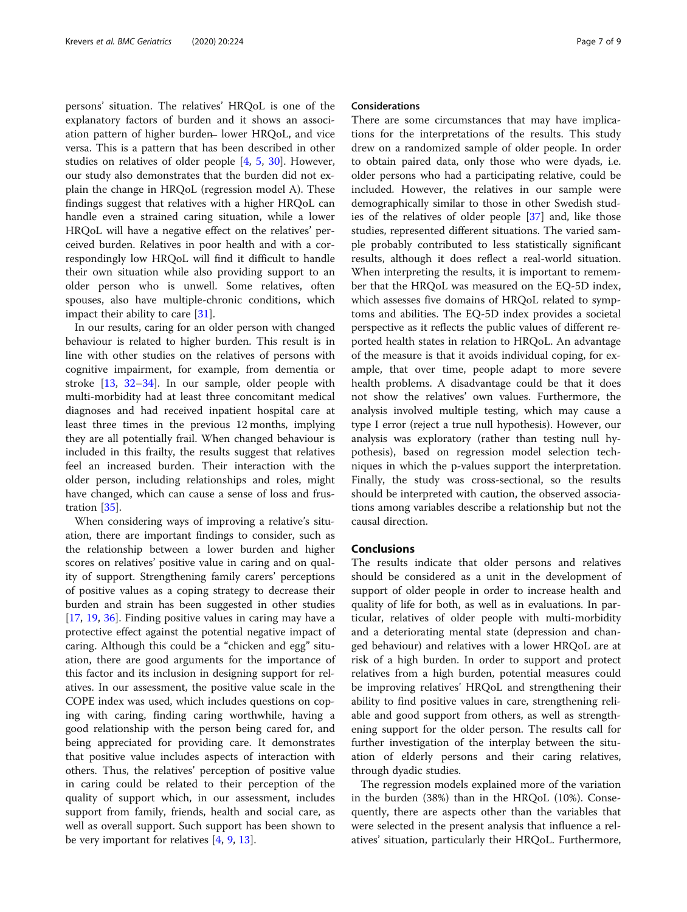persons' situation. The relatives' HRQoL is one of the explanatory factors of burden and it shows an association pattern of higher burden lower HRQoL, and vice versa. This is a pattern that has been described in other studies on relatives of older people [\[4,](#page-7-0) [5,](#page-7-0) [30\]](#page-8-0). However, our study also demonstrates that the burden did not explain the change in HRQoL (regression model A). These findings suggest that relatives with a higher HRQoL can handle even a strained caring situation, while a lower HRQoL will have a negative effect on the relatives' perceived burden. Relatives in poor health and with a correspondingly low HRQoL will find it difficult to handle their own situation while also providing support to an older person who is unwell. Some relatives, often spouses, also have multiple-chronic conditions, which impact their ability to care [\[31](#page-8-0)].

In our results, caring for an older person with changed behaviour is related to higher burden. This result is in line with other studies on the relatives of persons with cognitive impairment, for example, from dementia or stroke [\[13](#page-7-0), [32](#page-8-0)–[34](#page-8-0)]. In our sample, older people with multi-morbidity had at least three concomitant medical diagnoses and had received inpatient hospital care at least three times in the previous 12 months, implying they are all potentially frail. When changed behaviour is included in this frailty, the results suggest that relatives feel an increased burden. Their interaction with the older person, including relationships and roles, might have changed, which can cause a sense of loss and frustration [\[35](#page-8-0)].

When considering ways of improving a relative's situation, there are important findings to consider, such as the relationship between a lower burden and higher scores on relatives' positive value in caring and on quality of support. Strengthening family carers' perceptions of positive values as a coping strategy to decrease their burden and strain has been suggested in other studies [[17,](#page-7-0) [19,](#page-7-0) [36\]](#page-8-0). Finding positive values in caring may have a protective effect against the potential negative impact of caring. Although this could be a "chicken and egg" situation, there are good arguments for the importance of this factor and its inclusion in designing support for relatives. In our assessment, the positive value scale in the COPE index was used, which includes questions on coping with caring, finding caring worthwhile, having a good relationship with the person being cared for, and being appreciated for providing care. It demonstrates that positive value includes aspects of interaction with others. Thus, the relatives' perception of positive value in caring could be related to their perception of the quality of support which, in our assessment, includes support from family, friends, health and social care, as well as overall support. Such support has been shown to be very important for relatives [\[4,](#page-7-0) [9,](#page-7-0) [13\]](#page-7-0).

## Considerations

There are some circumstances that may have implications for the interpretations of the results. This study drew on a randomized sample of older people. In order to obtain paired data, only those who were dyads, i.e. older persons who had a participating relative, could be included. However, the relatives in our sample were demographically similar to those in other Swedish studies of the relatives of older people [\[37](#page-8-0)] and, like those studies, represented different situations. The varied sample probably contributed to less statistically significant results, although it does reflect a real-world situation. When interpreting the results, it is important to remember that the HRQoL was measured on the EQ-5D index, which assesses five domains of HRQoL related to symptoms and abilities. The EQ-5D index provides a societal perspective as it reflects the public values of different reported health states in relation to HRQoL. An advantage of the measure is that it avoids individual coping, for example, that over time, people adapt to more severe health problems. A disadvantage could be that it does not show the relatives' own values. Furthermore, the analysis involved multiple testing, which may cause a type I error (reject a true null hypothesis). However, our analysis was exploratory (rather than testing null hypothesis), based on regression model selection techniques in which the p-values support the interpretation. Finally, the study was cross-sectional, so the results should be interpreted with caution, the observed associations among variables describe a relationship but not the causal direction.

# Conclusions

The results indicate that older persons and relatives should be considered as a unit in the development of support of older people in order to increase health and quality of life for both, as well as in evaluations. In particular, relatives of older people with multi-morbidity and a deteriorating mental state (depression and changed behaviour) and relatives with a lower HRQoL are at risk of a high burden. In order to support and protect relatives from a high burden, potential measures could be improving relatives' HRQoL and strengthening their ability to find positive values in care, strengthening reliable and good support from others, as well as strengthening support for the older person. The results call for further investigation of the interplay between the situation of elderly persons and their caring relatives, through dyadic studies.

The regression models explained more of the variation in the burden (38%) than in the HRQoL (10%). Consequently, there are aspects other than the variables that were selected in the present analysis that influence a relatives' situation, particularly their HRQoL. Furthermore,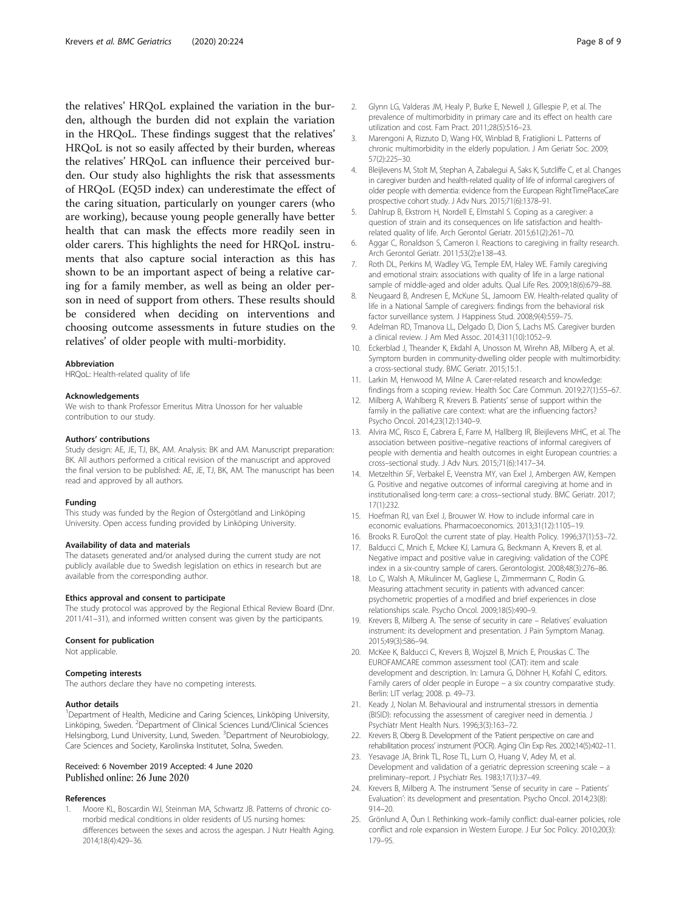<span id="page-7-0"></span>the relatives' HRQoL explained the variation in the burden, although the burden did not explain the variation in the HRQoL. These findings suggest that the relatives' HRQoL is not so easily affected by their burden, whereas the relatives' HRQoL can influence their perceived burden. Our study also highlights the risk that assessments of HRQoL (EQ5D index) can underestimate the effect of the caring situation, particularly on younger carers (who are working), because young people generally have better health that can mask the effects more readily seen in older carers. This highlights the need for HRQoL instruments that also capture social interaction as this has shown to be an important aspect of being a relative caring for a family member, as well as being an older person in need of support from others. These results should be considered when deciding on interventions and choosing outcome assessments in future studies on the relatives' of older people with multi-morbidity.

#### Abbreviation

HRQoL: Health-related quality of life

#### Acknowledgements

We wish to thank Professor Emeritus Mitra Unosson for her valuable contribution to our study.

#### Authors' contributions

Study design: AE, JE, TJ, BK, AM. Analysis: BK and AM. Manuscript preparation: BK. All authors performed a critical revision of the manuscript and approved the final version to be published: AE, JE, TJ, BK, AM. The manuscript has been read and approved by all authors.

#### Funding

This study was funded by the Region of Östergötland and Linköping University. Open access funding provided by Linköping University.

## Availability of data and materials

The datasets generated and/or analysed during the current study are not publicly available due to Swedish legislation on ethics in research but are available from the corresponding author.

#### Ethics approval and consent to participate

The study protocol was approved by the Regional Ethical Review Board (Dnr. 2011/41–31), and informed written consent was given by the participants.

#### Consent for publication

Not applicable.

#### Competing interests

The authors declare they have no competing interests.

#### Author details

<sup>1</sup>Department of Health, Medicine and Caring Sciences, Linköping University, Linköping, Sweden. <sup>2</sup>Department of Clinical Sciences Lund/Clinical Sciences Helsingborg, Lund University, Lund, Sweden. <sup>3</sup>Department of Neurobiology, Care Sciences and Society, Karolinska Institutet, Solna, Sweden.

## Received: 6 November 2019 Accepted: 4 June 2020 Published online: 26 June 2020

# References

1. Moore KL, Boscardin WJ, Steinman MA, Schwartz JB. Patterns of chronic comorbid medical conditions in older residents of US nursing homes: differences between the sexes and across the agespan. J Nutr Health Aging. 2014;18(4):429–36.

- 2. Glynn LG, Valderas JM, Healy P, Burke E, Newell J, Gillespie P, et al. The prevalence of multimorbidity in primary care and its effect on health care utilization and cost. Fam Pract. 2011;28(5):516–23.
- 3. Marengoni A, Rizzuto D, Wang HX, Winblad B, Fratiglioni L. Patterns of chronic multimorbidity in the elderly population. J Am Geriatr Soc. 2009; 57(2):225–30.
- 4. Bleijlevens M, Stolt M, Stephan A, Zabalegui A, Saks K, Sutcliffe C, et al. Changes in caregiver burden and health-related quality of life of informal caregivers of older people with dementia: evidence from the European RightTimePlaceCare prospective cohort study. J Adv Nurs. 2015;71(6):1378–91.
- 5. Dahlrup B, Ekstrom H, Nordell E, Elmstahl S. Coping as a caregiver: a question of strain and its consequences on life satisfaction and healthrelated quality of life. Arch Gerontol Geriatr. 2015;61(2):261–70.
- 6. Aggar C, Ronaldson S, Cameron I. Reactions to caregiving in frailty research. Arch Gerontol Geriatr. 2011;53(2):e138–43.
- 7. Roth DL, Perkins M, Wadley VG, Temple EM, Haley WE. Family caregiving and emotional strain: associations with quality of life in a large national sample of middle-aged and older adults. Qual Life Res. 2009;18(6):679–88.
- 8. Neugaard B, Andresen E, McKune SL, Jamoom EW. Health-related quality of life in a National Sample of caregivers: findings from the behavioral risk factor surveillance system. J Happiness Stud. 2008;9(4):559–75.
- 9. Adelman RD, Tmanova LL, Delgado D, Dion S, Lachs MS. Caregiver burden a clinical review. J Am Med Assoc. 2014;311(10):1052–9.
- 10. Eckerblad J, Theander K, Ekdahl A, Unosson M, Wirehn AB, Milberg A, et al. Symptom burden in community-dwelling older people with multimorbidity: a cross-sectional study. BMC Geriatr. 2015;15:1.
- 11. Larkin M, Henwood M, Milne A. Carer-related research and knowledge: findings from a scoping review. Health Soc Care Commun. 2019;27(1):55–67.
- 12. Milberg A, Wahlberg R, Krevers B. Patients' sense of support within the family in the palliative care context: what are the influencing factors? Psycho Oncol. 2014;23(12):1340–9.
- 13. Alvira MC, Risco E, Cabrera E, Farre M, Hallberg IR, Bleijlevens MHC, et al. The association between positive–negative reactions of informal caregivers of people with dementia and health outcomes in eight European countries: a cross–sectional study. J Adv Nurs. 2015;71(6):1417–34.
- 14. Metzelthin SF, Verbakel E, Veenstra MY, van Exel J, Ambergen AW, Kempen G. Positive and negative outcomes of informal caregiving at home and in institutionalised long-term care: a cross–sectional study. BMC Geriatr. 2017; 17(1):232.
- 15. Hoefman RJ, van Exel J, Brouwer W. How to include informal care in economic evaluations. Pharmacoeconomics. 2013;31(12):1105–19.
- 16. Brooks R. EuroQol: the current state of play. Health Policy. 1996;37(1):53–72.
- 17. Balducci C, Mnich E, Mckee KJ, Lamura G, Beckmann A, Krevers B, et al. Negative impact and positive value in caregiving: validation of the COPE index in a six-country sample of carers. Gerontologist. 2008;48(3):276–86.
- 18. Lo C, Walsh A, Mikulincer M, Gagliese L, Zimmermann C, Rodin G. Measuring attachment security in patients with advanced cancer: psychometric properties of a modified and brief experiences in close relationships scale. Psycho Oncol. 2009;18(5):490–9.
- 19. Krevers B, Milberg A. The sense of security in care Relatives' evaluation instrument: its development and presentation. J Pain Symptom Manag. 2015;49(3):586–94.
- 20. McKee K, Balducci C, Krevers B, Wojszel B, Mnich E, Prouskas C. The EUROFAMCARE common assessment tool (CAT): item and scale development and description. In: Lamura G, Döhner H, Kofahl C, editors. Family carers of older people in Europe – a six country comparative study. Berlin: LIT verlag; 2008. p. 49–73.
- 21. Keady J, Nolan M. Behavioural and instrumental stressors in dementia (BISID): refocussing the assessment of caregiver need in dementia. J Psychiatr Ment Health Nurs. 1996;3(3):163–72.
- 22. Krevers B, Oberg B. Development of the 'Patient perspective on care and rehabilitation process' instrument (POCR). Aging Clin Exp Res. 2002;14(5):402–11.
- 23. Yesavage JA, Brink TL, Rose TL, Lum O, Huang V, Adey M, et al. Development and validation of a geriatric depression screening scale – a preliminary–report. J Psychiatr Res. 1983;17(1):37–49.
- 24. Krevers B, Milberg A. The instrument 'Sense of security in care Patients' Evaluation': its development and presentation. Psycho Oncol. 2014;23(8): 914–20.
- 25. Grönlund A, Öun I. Rethinking work–family conflict: dual-earner policies, role conflict and role expansion in Western Europe. J Eur Soc Policy. 2010;20(3): 179–95.